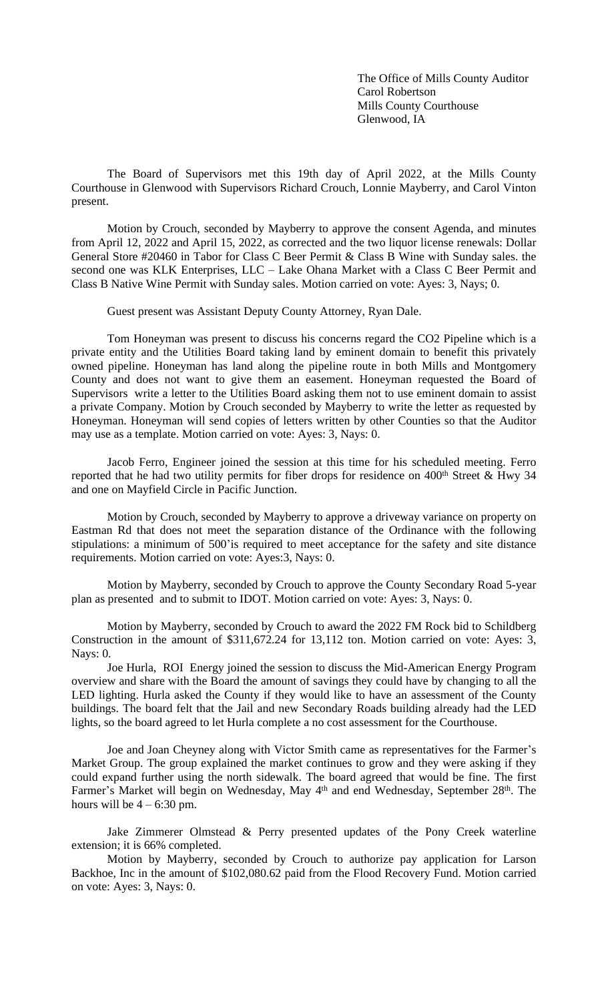The Office of Mills County Auditor Carol Robertson Mills County Courthouse Glenwood, IA

The Board of Supervisors met this 19th day of April 2022, at the Mills County Courthouse in Glenwood with Supervisors Richard Crouch, Lonnie Mayberry, and Carol Vinton present.

Motion by Crouch, seconded by Mayberry to approve the consent Agenda, and minutes from April 12, 2022 and April 15, 2022, as corrected and the two liquor license renewals: Dollar General Store #20460 in Tabor for Class C Beer Permit & Class B Wine with Sunday sales. the second one was KLK Enterprises, LLC – Lake Ohana Market with a Class C Beer Permit and Class B Native Wine Permit with Sunday sales. Motion carried on vote: Ayes: 3, Nays; 0.

Guest present was Assistant Deputy County Attorney, Ryan Dale.

Tom Honeyman was present to discuss his concerns regard the CO2 Pipeline which is a private entity and the Utilities Board taking land by eminent domain to benefit this privately owned pipeline. Honeyman has land along the pipeline route in both Mills and Montgomery County and does not want to give them an easement. Honeyman requested the Board of Supervisors write a letter to the Utilities Board asking them not to use eminent domain to assist a private Company. Motion by Crouch seconded by Mayberry to write the letter as requested by Honeyman. Honeyman will send copies of letters written by other Counties so that the Auditor may use as a template. Motion carried on vote: Ayes: 3, Nays: 0.

Jacob Ferro, Engineer joined the session at this time for his scheduled meeting. Ferro reported that he had two utility permits for fiber drops for residence on  $400<sup>th</sup>$  Street & Hwy 34 and one on Mayfield Circle in Pacific Junction.

Motion by Crouch, seconded by Mayberry to approve a driveway variance on property on Eastman Rd that does not meet the separation distance of the Ordinance with the following stipulations: a minimum of 500'is required to meet acceptance for the safety and site distance requirements. Motion carried on vote: Ayes:3, Nays: 0.

Motion by Mayberry, seconded by Crouch to approve the County Secondary Road 5-year plan as presented and to submit to IDOT. Motion carried on vote: Ayes: 3, Nays: 0.

Motion by Mayberry, seconded by Crouch to award the 2022 FM Rock bid to Schildberg Construction in the amount of \$311,672.24 for 13,112 ton. Motion carried on vote: Ayes: 3, Nays: 0.

Joe Hurla, ROI Energy joined the session to discuss the Mid-American Energy Program overview and share with the Board the amount of savings they could have by changing to all the LED lighting. Hurla asked the County if they would like to have an assessment of the County buildings. The board felt that the Jail and new Secondary Roads building already had the LED lights, so the board agreed to let Hurla complete a no cost assessment for the Courthouse.

Joe and Joan Cheyney along with Victor Smith came as representatives for the Farmer's Market Group. The group explained the market continues to grow and they were asking if they could expand further using the north sidewalk. The board agreed that would be fine. The first Farmer's Market will begin on Wednesday, May 4<sup>th</sup> and end Wednesday, September 28<sup>th</sup>. The hours will be  $4 - 6:30$  pm.

Jake Zimmerer Olmstead & Perry presented updates of the Pony Creek waterline extension; it is 66% completed.

Motion by Mayberry, seconded by Crouch to authorize pay application for Larson Backhoe, Inc in the amount of \$102,080.62 paid from the Flood Recovery Fund. Motion carried on vote: Ayes: 3, Nays: 0.